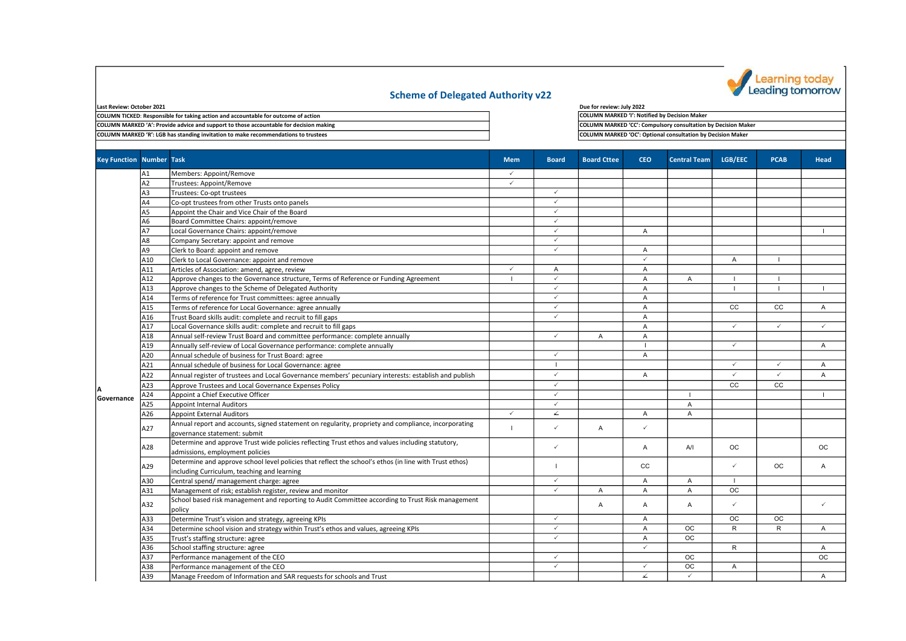

## Scheme of Delegated Authority v22

| Last Review: October 2021                                                              |
|----------------------------------------------------------------------------------------|
| COLUMN TICKED: Responsible for taking action and accountable for outcome of action     |
| COLUMN MARKED 'A': Provide advice and support to those accountable for decision making |
| COLUMN MARKED 'R': LGB has standing invitation to make recommendations to trustees     |

Due for review: July 2022 COLUMN MARKED 'I': Notified by Decision Maker COLUMN MARKED 'CC': Compulsory consultation by Decision Maker COLUMN MARKED 'OC': Optional consultation by Decision Maker

| A1<br>Members: Appoint/Remove<br>$\checkmark$<br>A2<br>Trustees: Appoint/Remove<br>$\checkmark$<br>✓<br>A3<br>Trustees: Co-opt trustees<br>$\checkmark$<br>A4<br>Co-opt trustees from other Trusts onto panels<br>$\checkmark$<br>Appoint the Chair and Vice Chair of the Board<br>A5<br>✓<br>Board Committee Chairs: appoint/remove<br>A6<br>A7<br>$\checkmark$<br>Local Governance Chairs: appoint/remove<br>A |                |
|------------------------------------------------------------------------------------------------------------------------------------------------------------------------------------------------------------------------------------------------------------------------------------------------------------------------------------------------------------------------------------------------------------------|----------------|
|                                                                                                                                                                                                                                                                                                                                                                                                                  |                |
|                                                                                                                                                                                                                                                                                                                                                                                                                  |                |
|                                                                                                                                                                                                                                                                                                                                                                                                                  |                |
|                                                                                                                                                                                                                                                                                                                                                                                                                  |                |
|                                                                                                                                                                                                                                                                                                                                                                                                                  |                |
|                                                                                                                                                                                                                                                                                                                                                                                                                  |                |
|                                                                                                                                                                                                                                                                                                                                                                                                                  |                |
| $\checkmark$<br>Α8<br>Company Secretary: appoint and remove                                                                                                                                                                                                                                                                                                                                                      |                |
| Clerk to Board: appoint and remove<br>$\checkmark$<br>A9<br>A                                                                                                                                                                                                                                                                                                                                                    |                |
| $\checkmark$<br>Clerk to Local Governance: appoint and remove<br>A<br>A10<br>$\mathbf{I}$                                                                                                                                                                                                                                                                                                                        |                |
| $\checkmark$<br>Articles of Association: amend, agree, review<br>A<br>$\overline{A}$<br>A11                                                                                                                                                                                                                                                                                                                      |                |
| $\checkmark$<br>A12<br>Approve changes to the Governance structure, Terms of Reference or Funding Agreement<br>$\overline{A}$<br>Α                                                                                                                                                                                                                                                                               |                |
| $\checkmark$<br>A13<br>Approve changes to the Scheme of Delegated Authority<br>$\overline{A}$                                                                                                                                                                                                                                                                                                                    |                |
| $\checkmark$<br>Terms of reference for Trust committees: agree annually<br>A14<br>$\overline{A}$                                                                                                                                                                                                                                                                                                                 |                |
| Terms of reference for Local Governance: agree annually<br>✓<br>CC<br>CC<br>A15<br>A                                                                                                                                                                                                                                                                                                                             | $\overline{A}$ |
| $\checkmark$<br>Trust Board skills audit: complete and recruit to fill gaps<br>A<br>A16                                                                                                                                                                                                                                                                                                                          |                |
| $\checkmark$<br>$\checkmark$<br>Local Governance skills audit: complete and recruit to fill gaps<br>$\overline{A}$<br>A17                                                                                                                                                                                                                                                                                        | $\checkmark$   |
| ✓<br>A18<br>Annual self-review Trust Board and committee performance: complete annually<br>$\mathsf{A}$<br>A                                                                                                                                                                                                                                                                                                     |                |
| Annually self-review of Local Governance performance: complete annually<br>$\checkmark$<br>A19                                                                                                                                                                                                                                                                                                                   | $\overline{A}$ |
| Annual schedule of business for Trust Board: agree<br>$\checkmark$<br>$\overline{A}$<br>A20                                                                                                                                                                                                                                                                                                                      |                |
| A21<br>Annual schedule of business for Local Governance: agree<br>$\checkmark$<br>$\checkmark$<br>L.                                                                                                                                                                                                                                                                                                             | A              |
| $\checkmark$<br>$\checkmark$<br>$\checkmark$<br>Annual register of trustees and Local Governance members' pecuniary interests: establish and publish<br>A22<br>$\overline{A}$                                                                                                                                                                                                                                    | $\overline{A}$ |
| Approve Trustees and Local Governance Expenses Policy<br>$\checkmark$<br>CC<br>CC<br>A23                                                                                                                                                                                                                                                                                                                         |                |
| Appoint a Chief Executive Officer<br>$\checkmark$<br>A24<br>$\mathbf{I}$<br><b>Governance</b>                                                                                                                                                                                                                                                                                                                    |                |
| $\checkmark$<br><b>Appoint Internal Auditors</b><br>A<br>A25                                                                                                                                                                                                                                                                                                                                                     |                |
| ↙<br>$\checkmark$<br>A<br>A26<br><b>Appoint External Auditors</b><br>$\mathsf{A}$                                                                                                                                                                                                                                                                                                                                |                |
| Annual report and accounts, signed statement on regularity, propriety and compliance, incorporating<br>$\checkmark$<br>$\checkmark$                                                                                                                                                                                                                                                                              |                |
| A27<br>$\mathsf{A}$<br>$\mathbf{I}$<br>governance statement: submit                                                                                                                                                                                                                                                                                                                                              |                |
| Determine and approve Trust wide policies reflecting Trust ethos and values including statutory,<br><b>OC</b><br>✓                                                                                                                                                                                                                                                                                               |                |
| AVI<br>A28<br>$\overline{A}$<br>admissions, employment policies                                                                                                                                                                                                                                                                                                                                                  | OC.            |
| Determine and approve school level policies that reflect the school's ethos (in line with Trust ethos)<br><b>OC</b><br>$\checkmark$                                                                                                                                                                                                                                                                              |                |
| cc<br>A29<br>including Curriculum, teaching and learning                                                                                                                                                                                                                                                                                                                                                         | Α              |
| $\checkmark$<br>Central spend/ management charge: agree<br>A<br>$\overline{A}$<br>A30<br>-1                                                                                                                                                                                                                                                                                                                      |                |
| $\checkmark$<br>OC.<br>Management of risk; establish register, review and monitor<br>A31<br>$\overline{A}$<br>$\overline{A}$<br>$\overline{A}$                                                                                                                                                                                                                                                                   |                |
| School based risk management and reporting to Audit Committee according to Trust Risk management<br>$\overline{A}$<br>A<br>$\checkmark$<br>$\mathsf{A}$                                                                                                                                                                                                                                                          | $\checkmark$   |
| A32<br>policy                                                                                                                                                                                                                                                                                                                                                                                                    |                |
| $\checkmark$<br><b>OC</b><br><b>OC</b><br>Determine Trust's vision and strategy, agreeing KPIs<br>A33<br>$\mathsf{A}$                                                                                                                                                                                                                                                                                            |                |
| $\checkmark$<br>A34<br>Determine school vision and strategy within Trust's ethos and values, agreeing KPIs<br>ОC<br>R<br>$\mathsf{R}$<br>A                                                                                                                                                                                                                                                                       | Α              |
| $\overline{\checkmark}$<br><b>OC</b><br>A35<br>Trust's staffing structure: agree<br>$\mathsf{A}$                                                                                                                                                                                                                                                                                                                 |                |
| $\checkmark$<br>R<br>School staffing structure: agree<br>A36                                                                                                                                                                                                                                                                                                                                                     | A              |
| Performance management of the CEO<br>A37<br>✓<br>OС                                                                                                                                                                                                                                                                                                                                                              | <b>OC</b>      |
| $\checkmark$<br><b>OC</b><br>Performance management of the CEO<br>A38<br>$\checkmark$<br>A                                                                                                                                                                                                                                                                                                                       |                |
| ↙<br>$\checkmark$<br>Manage Freedom of Information and SAR requests for schools and Trust<br>A39                                                                                                                                                                                                                                                                                                                 | $\overline{A}$ |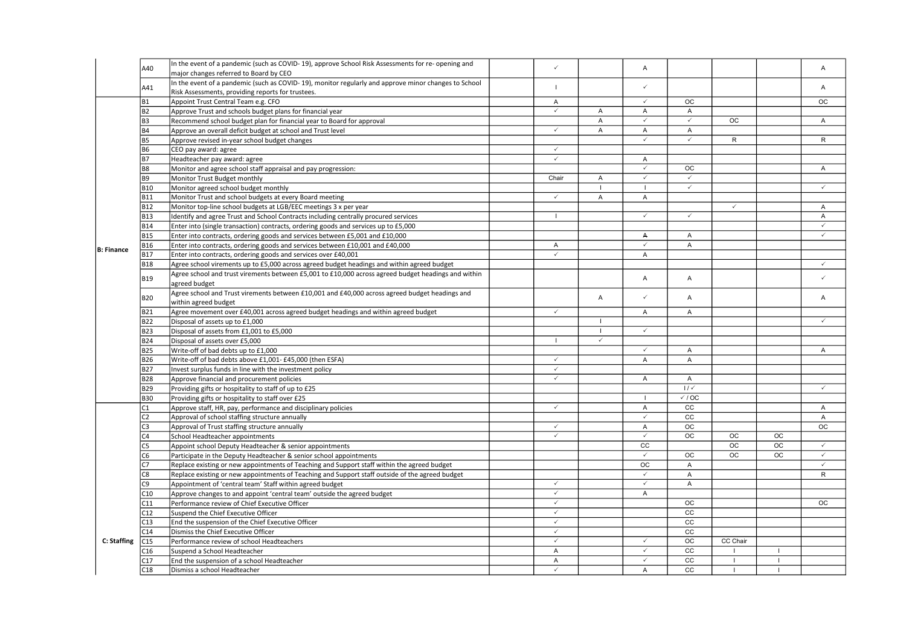|                   |                 | In the event of a pandemic (such as COVID-19), approve School Risk Assessments for re- opening and   | $\checkmark$                 |                |                                  |                         |              |                 |                      |
|-------------------|-----------------|------------------------------------------------------------------------------------------------------|------------------------------|----------------|----------------------------------|-------------------------|--------------|-----------------|----------------------|
|                   | A40             | major changes referred to Board by CEO                                                               |                              |                | A                                |                         |              |                 | A                    |
|                   | A41             | In the event of a pandemic (such as COVID-19), monitor regularly and approve minor changes to School |                              |                | $\checkmark$                     |                         |              |                 | $\mathsf{A}$         |
|                   |                 | Risk Assessments, providing reports for trustees.                                                    |                              |                |                                  |                         |              |                 |                      |
|                   | <b>B1</b>       | Appoint Trust Central Team e.g. CFO                                                                  | Α                            |                | $\checkmark$                     | <b>OC</b>               |              |                 | <b>OC</b>            |
|                   | <b>B2</b>       | Approve Trust and schools budget plans for financial year                                            | $\checkmark$                 | $\mathsf{A}$   | A                                | A                       |              |                 |                      |
|                   | B <sub>3</sub>  | Recommend school budget plan for financial year to Board for approval                                |                              | $\overline{A}$ | $\checkmark$                     | $\checkmark$            | OC           |                 | $\mathsf{A}$         |
|                   | Β4              | Approve an overall deficit budget at school and Trust level                                          | $\checkmark$                 | A              | A                                | A                       |              |                 |                      |
|                   | <b>B5</b>       | Approve revised in-year school budget changes                                                        |                              |                | $\checkmark$                     | $\checkmark$            | $\mathsf{R}$ |                 | $\mathsf{R}$         |
|                   | <b>B6</b>       | CEO pay award: agree                                                                                 | $\checkmark$                 |                |                                  |                         |              |                 |                      |
|                   | <b>B7</b>       | Headteacher pay award: agree                                                                         | $\checkmark$                 |                | A                                |                         |              |                 |                      |
|                   | <b>B8</b>       | Monitor and agree school staff appraisal and pay progression:                                        |                              |                | $\checkmark$                     | OC                      |              |                 | A                    |
|                   | <b>B9</b>       | Monitor Trust Budget monthly                                                                         | Chair                        | $\overline{A}$ | $\checkmark$                     | $\overline{\checkmark}$ |              |                 |                      |
|                   | <b>B10</b>      | Monitor agreed school budget monthly                                                                 |                              | $\mathbf{I}$   | $\overline{1}$                   | $\checkmark$            |              |                 | $\checkmark$         |
|                   | <b>B11</b>      | Monitor Trust and school budgets at every Board meeting                                              | $\checkmark$                 | $\overline{A}$ | A                                |                         |              |                 |                      |
|                   | <b>B12</b>      | Monitor top-line school budgets at LGB/EEC meetings 3 x per year                                     |                              |                |                                  |                         | $\checkmark$ |                 | $\mathsf{A}$         |
|                   | <b>B13</b>      | Identify and agree Trust and School Contracts including centrally procured services                  |                              |                | $\checkmark$                     | $\checkmark$            |              |                 | A                    |
|                   | <b>B14</b>      | Enter into (single transaction) contracts, ordering goods and services up to £5,000                  |                              |                |                                  |                         |              |                 | $\checkmark$         |
|                   | <b>B15</b>      | Enter into contracts, ordering goods and services between £5,001 and £10,000                         |                              |                | А                                | A                       |              |                 | $\checkmark$         |
| <b>B: Finance</b> | <b>B16</b>      | Enter into contracts, ordering goods and services between £10,001 and £40,000                        | A                            |                | $\checkmark$                     | A                       |              |                 |                      |
|                   | <b>B17</b>      | Enter into contracts, ordering goods and services over £40,001                                       | $\checkmark$                 |                | A                                |                         |              |                 |                      |
|                   | <b>B18</b>      | Agree school virements up to £5,000 across agreed budget headings and within agreed budget           |                              |                |                                  |                         |              |                 | $\checkmark$         |
|                   | <b>B19</b>      | Agree school and trust virements between £5,001 to £10,000 across agreed budget headings and within  |                              |                | A                                | A                       |              |                 | $\checkmark$         |
|                   |                 | agreed budget                                                                                        |                              |                |                                  |                         |              |                 |                      |
|                   | <b>B20</b>      | Agree school and Trust virements between £10,001 and £40,000 across agreed budget headings and       |                              | Α              | $\checkmark$                     | $\overline{A}$          |              |                 | A                    |
|                   |                 | within agreed budget                                                                                 |                              |                |                                  |                         |              |                 |                      |
|                   | <b>B21</b>      | Agree movement over £40,001 across agreed budget headings and within agreed budget                   | $\checkmark$                 |                | A                                | A                       |              |                 |                      |
|                   | <b>B22</b>      | Disposal of assets up to £1,000                                                                      |                              | $\blacksquare$ |                                  |                         |              |                 | $\checkmark$         |
|                   | <b>B23</b>      | Disposal of assets from £1,001 to £5,000                                                             |                              | $\overline{1}$ | $\checkmark$                     |                         |              |                 |                      |
|                   | <b>B24</b>      | Disposal of assets over £5,000                                                                       |                              | $\checkmark$   |                                  |                         |              |                 |                      |
|                   | <b>B25</b>      | Write-off of bad debts up to £1,000                                                                  |                              |                | $\checkmark$                     | A                       |              |                 | A                    |
|                   | <b>B26</b>      | Write-off of bad debts above £1,001- £45,000 (then ESFA)                                             | $\checkmark$                 |                | A                                | A                       |              |                 |                      |
|                   | <b>B27</b>      | Invest surplus funds in line with the investment policy                                              | $\checkmark$                 |                |                                  |                         |              |                 |                      |
|                   | <b>B28</b>      | Approve financial and procurement policies                                                           | $\checkmark$                 |                | A                                | A                       |              |                 |                      |
|                   | <b>B29</b>      | Providing gifts or hospitality to staff of up to £25                                                 |                              |                |                                  | $1/\sqrt{2}$            |              |                 | $\checkmark$         |
|                   | <b>B30</b>      | Providing gifts or hospitality to staff over £25                                                     |                              |                | $\blacksquare$                   | $\checkmark$ / OC       |              |                 |                      |
|                   | C1              | Approve staff, HR, pay, performance and disciplinary policies                                        | $\checkmark$                 |                | A<br>$\checkmark$                | cc                      |              |                 | $\mathsf{A}$         |
|                   | C2              | Approval of school staffing structure annually                                                       | $\checkmark$                 |                |                                  | cc<br>$\overline{OC}$   |              |                 | A<br>$\overline{OC}$ |
|                   | C3              | Approval of Trust staffing structure annually                                                        |                              |                | $\boldsymbol{A}$<br>$\checkmark$ |                         |              |                 |                      |
|                   | C4              | School Headteacher appointments                                                                      | $\checkmark$                 |                | $\overline{cc}$                  | OC                      | OC<br>OC     | ОC<br><b>OC</b> | $\checkmark$         |
|                   | C5              | Appoint school Deputy Headteacher & senior appointments                                              |                              |                | $\checkmark$                     |                         |              |                 | $\checkmark$         |
|                   | C6              | Participate in the Deputy Headteacher & senior school appointments                                   |                              |                | OC.                              | ОC<br>$\overline{A}$    | OC           | OC              | $\checkmark$         |
|                   | C7              | Replace existing or new appointments of Teaching and Support staff within the agreed budget          |                              |                | $\checkmark$                     |                         |              |                 |                      |
| C: Staffing       | C8<br>Ċ9        | Replace existing or new appointments of Teaching and Support staff outside of the agreed budget      | $\checkmark$                 |                | $\checkmark$                     | A<br>A                  |              |                 | $\mathsf{R}$         |
|                   |                 | Appointment of 'central team' Staff within agreed budget                                             |                              |                |                                  |                         |              |                 |                      |
|                   | C10             | Approve changes to and appoint 'central team' outside the agreed budget                              | $\checkmark$<br>$\checkmark$ |                | A                                |                         |              |                 |                      |
|                   | C11<br>C12      | Performance review of Chief Executive Officer                                                        | $\checkmark$                 |                |                                  | $_{\rm OC}$<br>cc       |              |                 | OC.                  |
|                   |                 | Suspend the Chief Executive Officer                                                                  | $\checkmark$                 |                |                                  | cc                      |              |                 |                      |
|                   | C13             | End the suspension of the Chief Executive Officer                                                    | $\checkmark$                 |                |                                  | cc                      |              |                 |                      |
|                   | C <sub>14</sub> | Dismiss the Chief Executive Officer                                                                  | $\checkmark$                 |                | $\checkmark$                     | OC                      | CC Chair     |                 |                      |
|                   | C15<br>C16      | Performance review of school Headteachers<br>Suspend a School Headteacher                            | $\overline{A}$               |                | $\checkmark$                     | cc                      |              |                 |                      |
|                   | 217             | End the suspension of a school Headteacher                                                           | A                            |                | $\checkmark$                     | cc                      | $\mathbf{I}$ | $\mathbf{I}$    |                      |
|                   | C18             | Dismiss a school Headteacher                                                                         | $\checkmark$                 |                | $\overline{A}$                   | $\overline{cc}$         | $\mathbf{I}$ | $\mathbf{I}$    |                      |
|                   |                 |                                                                                                      |                              |                |                                  |                         |              |                 |                      |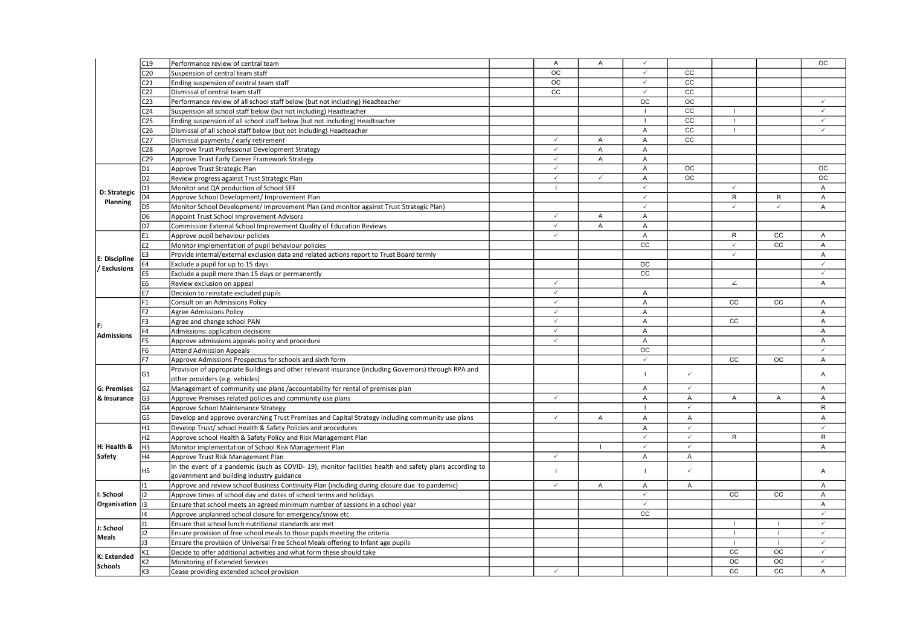|                           | C <sub>19</sub> | Performance review of central team                                                                     | A               | A              | $\checkmark$              |                         |                |              | <b>OC</b>         |
|---------------------------|-----------------|--------------------------------------------------------------------------------------------------------|-----------------|----------------|---------------------------|-------------------------|----------------|--------------|-------------------|
|                           | C <sub>20</sub> | Suspension of central team staff                                                                       | OC              |                | $\checkmark$              | cc                      |                |              |                   |
|                           | C <sub>21</sub> | Ending suspension of central team staff                                                                | $\overline{OC}$ |                | $\checkmark$              | $\overline{cc}$         |                |              |                   |
|                           | C <sub>22</sub> | Dismissal of central team staff                                                                        | cc              |                | $\checkmark$              | cc                      |                |              |                   |
|                           | C <sub>23</sub> | Performance review of all school staff below (but not including) Headteacher                           |                 |                | OC                        | $_{\rm OC}$             |                |              | $\checkmark$      |
|                           | C <sub>24</sub> | Suspension all school staff below (but not including) Headteacher                                      |                 |                | $\overline{1}$            | $\overline{cc}$         | $\overline{1}$ |              | $\checkmark$      |
|                           | C <sub>25</sub> | Ending suspension of all school staff below (but not including) Headteacher                            |                 |                | $\overline{1}$            | cc                      | $\mathbf{I}$   |              | $\checkmark$      |
|                           | C <sub>26</sub> | Dismissal of all school staff below (but not including) Headteacher                                    |                 |                | $\boldsymbol{\mathsf{A}}$ | cc                      | $\mathbf{I}$   |              | $\checkmark$      |
|                           | C <sub>27</sub> | Dismissal payments / early retirement                                                                  | $\checkmark$    | $\overline{A}$ | $\overline{A}$            | $\overline{cc}$         |                |              |                   |
|                           | C <sub>28</sub> | Approve Trust Professional Development Strategy                                                        | $\checkmark$    | A              | $\overline{A}$            |                         |                |              |                   |
|                           | C <sub>29</sub> | Approve Trust Early Career Framework Strategy                                                          | $\checkmark$    | A              | $\boldsymbol{\mathsf{A}}$ |                         |                |              |                   |
|                           | D1              | Approve Trust Strategic Plan                                                                           | ✓               |                | $\overline{A}$            | OC                      |                |              | <b>OC</b>         |
|                           | D <sub>2</sub>  | Review progress against Trust Strategic Plan                                                           | $\checkmark$    | $\checkmark$   | Α                         | <b>OC</b>               |                |              | <b>OC</b>         |
|                           | D3              | Monitor and QA production of School SEF                                                                | $\overline{1}$  |                | $\checkmark$              |                         | $\checkmark$   |              | A                 |
| D: Strategic              | D4              | Approve School Development/ Improvement Plan                                                           |                 |                | $\checkmark$              |                         | R              | R            | A                 |
| Planning                  | D5              | Monitor School Development/ Improvement Plan (and monitor against Trust Strategic Plan)                |                 |                | $\checkmark$              |                         | $\checkmark$   | $\checkmark$ | $\mathsf{A}$      |
|                           | D6              | Appoint Trust School Improvement Advisors                                                              | $\checkmark$    | A              | $\overline{A}$            |                         |                |              |                   |
|                           | D7              | Commission External School Improvement Quality of Education Reviews                                    | $\checkmark$    | A              | A                         |                         |                |              |                   |
|                           | Ε1              | Approve pupil behaviour policies                                                                       | $\checkmark$    |                | $\overline{A}$            |                         | R              | cc           | A                 |
|                           | E2              | Monitor implementation of pupil behaviour policies                                                     |                 |                | cc                        |                         | $\checkmark$   | cc           | A                 |
|                           | E3              | Provide internal/external exclusion data and related actions report to Trust Board termly              |                 |                |                           |                         | $\checkmark$   |              | $\mathsf{A}$      |
| E: Discipline             | Ε4              | Exclude a pupil for up to 15 days                                                                      |                 |                | $_{\rm OC}$               |                         |                |              | J                 |
| / Exclusions              | E5              | Exclude a pupil more than 15 days or permanently                                                       |                 |                | cc                        |                         |                |              | $\checkmark$      |
|                           | Е6              | Review exclusion on appeal                                                                             | $\checkmark$    |                |                           |                         | ∡              |              | $\mathsf{A}$      |
|                           | Е7              | Decision to reinstate excluded pupils                                                                  | $\checkmark$    |                | $\overline{A}$            |                         |                |              |                   |
|                           | F1              | Consult on an Admissions Policy                                                                        | $\checkmark$    |                | $\overline{A}$            |                         | cc             | cc           | $\mathsf{A}$      |
|                           | F <sub>2</sub>  | <b>Agree Admissions Policy</b>                                                                         | $\checkmark$    |                | $\overline{A}$            |                         |                |              | A                 |
|                           | F3              | Agree and change school PAN                                                                            | $\checkmark$    |                | $\overline{A}$            |                         | cc             |              | A                 |
| F:                        | F4              | Admissions: application decisions                                                                      | $\checkmark$    |                | $\overline{A}$            |                         |                |              | $\mathsf{A}$      |
| <b>Admissions</b>         |                 |                                                                                                        | $\checkmark$    |                | $\overline{A}$            |                         |                |              |                   |
|                           | F5<br>F6        | Approve admissions appeals policy and procedure                                                        |                 |                | OC                        |                         |                |              | A<br>$\checkmark$ |
|                           |                 | <b>Attend Admission Appeals</b>                                                                        |                 |                | $\checkmark$              |                         | cc             | ОC           | $\mathsf{A}$      |
|                           | F7              | Approve Admissions Prospectus for schools and sixth form                                               |                 |                |                           |                         |                |              |                   |
|                           | G1              | Provision of appropriate Buildings and other relevant insurance (including Governors) through RPA and  |                 |                |                           | $\checkmark$            |                |              | $\mathsf{A}$      |
|                           |                 | other providers (e.g. vehicles)                                                                        |                 |                |                           | $\checkmark$            |                |              |                   |
| <b>G: Premises</b>        | G <sub>2</sub>  | Management of community use plans /accountability for rental of premises plan                          | $\checkmark$    |                | $\overline{A}$            |                         |                |              | A                 |
| & Insurance               | G3              | Approve Premises related policies and community use plans                                              |                 |                | $\overline{A}$            | $\overline{A}$          | Α              | A            | $\overline{A}$    |
|                           | G4              | Approve School Maintenance Strategy                                                                    |                 |                |                           | $\checkmark$            |                |              | $\mathsf{R}$      |
|                           | G5              | Develop and approve overarching Trust Premises and Capital Strategy including community use plans      | $\checkmark$    | Α              | $\boldsymbol{\mathsf{A}}$ | A                       |                |              | A                 |
|                           | Η1              | Develop Trust/ school Health & Safety Policies and procedures                                          |                 |                | Α                         | $\overline{\checkmark}$ |                |              | $\checkmark$      |
|                           | H <sub>2</sub>  | Approve school Health & Safety Policy and Risk Management Plan                                         |                 |                | $\checkmark$              | $\checkmark$            | $\mathsf{R}$   |              | $\mathsf{R}$      |
| H: Health &               | H3              | Monitor implementation of School Risk Management Plan                                                  |                 |                | $\checkmark$              | $\checkmark$            |                |              | $\mathsf{A}$      |
| Safety                    | Η4              | Approve Trust Risk Management Plan                                                                     | $\checkmark$    |                | $\overline{A}$            | A                       |                |              |                   |
|                           | H5              | In the event of a pandemic (such as COVID-19), monitor facilities health and safety plans according to | $\mathbf{I}$    |                | $\mathbf{I}$              | $\checkmark$            |                |              | $\mathsf{A}$      |
|                           |                 | government and building industry guidance                                                              |                 |                |                           |                         |                |              |                   |
| I: School<br>Organisation | $\overline{1}$  | Approve and review school Business Continuity Plan (including during closure due to pandemic)          | $\checkmark$    | A              | $\overline{A}$            | A                       |                |              | $\mathsf{A}$      |
|                           | 12              | Approve times of school day and dates of school terms and holidays                                     |                 |                | $\checkmark$              |                         | cc             | cc           | A                 |
|                           | 13              | Ensure that school meets an agreed minimum number of sessions in a school year                         |                 |                | $\checkmark$              |                         |                |              | $\mathsf{A}$      |
|                           | 14              | Approve unplanned school closure for emergency/snow etc                                                |                 |                | cc                        |                         |                |              | $\checkmark$      |
| J: School<br><b>Meals</b> | 11              | Ensure that school lunch nutritional standards are met                                                 |                 |                |                           |                         | $\mathbf{I}$   | $\mathbf{I}$ | $\checkmark$      |
|                           | 12              | Ensure provision of free school meals to those pupils meeting the criteria                             |                 |                |                           |                         | $\mathbf{I}$   | $\mathbf{I}$ | $\checkmark$      |
|                           | JЗ              | Ensure the provision of Universal Free School Meals offering to Infant age pupils                      |                 |                |                           |                         | $\mathbf{I}$   |              | $\checkmark$      |
| K: Extended<br>Schools    | К1              | Decide to offer additional activities and what form these should take                                  |                 |                |                           |                         | cc             | ОC           | $\checkmark$      |
|                           | К2              | Monitoring of Extended Services                                                                        |                 |                |                           |                         | <b>OC</b>      | <b>OC</b>    | $\checkmark$      |
|                           | K3              | Cease providing extended school provision                                                              | $\checkmark$    |                |                           |                         | CC             | CC           | $\overline{A}$    |